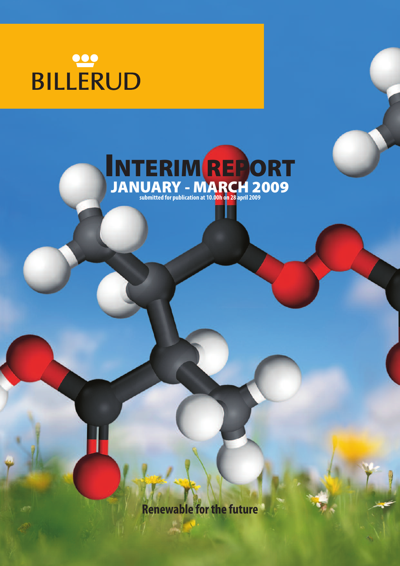# BILLERUD



**Renewable forthe future**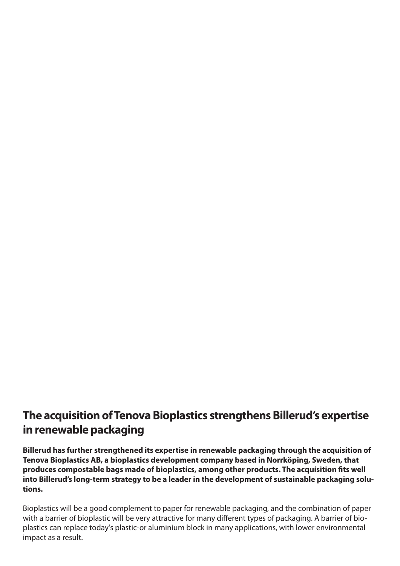## **The acquisition of Tenova Bioplastics strengthens Billerud's expertise in** renewable packaging

**Billerud has further strengthened its expertise in renewable packaging through the acquisition of Tenova Bioplastics AB, a bioplastics development company based in Norrköping, Sweden, that produces compostable bags made of bioplastics, among other products. The acquisition fits well into Billerud's long-term strategy to be a leader in the development of sustainable packaging solutions.**

Bioplastics will be a good complement to paper for renewable packaging, and the combination of paper with a barrier of bioplastic will be very attractive for many different types of packaging. A barrier of bioplastics can replace today's plastic-or aluminium block in many applications, with lower environmental impact as a result.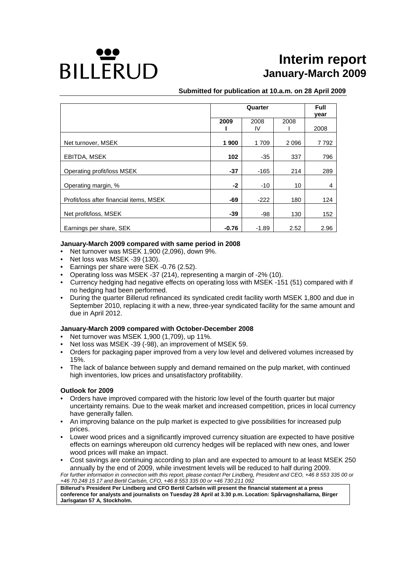## **BILLERUD**

## **Interim report January-March 2009**

#### **Submitted for publication at 10.a.m. on 28 April 2009**

|                                         |         | Full   |      |      |
|-----------------------------------------|---------|--------|------|------|
|                                         |         |        |      | year |
|                                         | 2009    | 2008   | 2008 |      |
|                                         |         | IV.    |      | 2008 |
| Net turnover, MSEK                      | 1 900   | 1 709  | 2096 | 7792 |
|                                         |         |        |      |      |
| EBITDA, MSEK                            | 102     | $-35$  | 337  | 796  |
| Operating profit/loss MSEK              | $-37$   | $-165$ | 214  | 289  |
| Operating margin, %                     | $-2$    | $-10$  | 10   | 4    |
| Profit/loss after financial items, MSEK | -69     | $-222$ | 180  | 124  |
| Net profit/loss, MSEK                   | -39     | -98    | 130  | 152  |
| Earnings per share, SEK                 | $-0.76$ | -1.89  | 2.52 | 2.96 |

#### **January-March 2009 compared with same period in 2008**

- Net turnover was MSEK 1,900 (2,096), down 9%.
- Net loss was MSEK -39 (130).
- Earnings per share were SEK -0.76 (2.52).
- Operating loss was MSEK -37 (214), representing a margin of -2% (10).
- Currency hedging had negative effects on operating loss with MSEK -151 (51) compared with if no hedging had been performed.
- During the quarter Billerud refinanced its syndicated credit facility worth MSEK 1,800 and due in September 2010, replacing it with a new, three-year syndicated facility for the same amount and due in April 2012.

#### **January-March 2009 compared with October-December 2008**

- Net turnover was MSEK 1,900 (1,709), up 11%.
- Net loss was MSEK -39 (-98), an improvement of MSEK 59.
- Orders for packaging paper improved from a very low level and delivered volumes increased by 15%.
- The lack of balance between supply and demand remained on the pulp market, with continued high inventories, low prices and unsatisfactory profitability.

#### **Outlook for 2009**

- Orders have improved compared with the historic low level of the fourth quarter but major uncertainty remains. Due to the weak market and increased competition, prices in local currency have generally fallen.
- An improving balance on the pulp market is expected to give possibilities for increased pulp prices.
- Lower wood prices and a significantly improved currency situation are expected to have positive effects on earnings whereupon old currency hedges will be replaced with new ones, and lower wood prices will make an impact.
- Cost savings are continuing according to plan and are expected to amount to at least MSEK 250 annually by the end of 2009, while investment levels will be reduced to half during 2009. *For further information in connection with this report, please contact Per Lindberg, President and CEO, +46 8 553 335 00 or*

*+46 70 248 15 17 and Bertil Carlsén, CFO, +46 8 553 335 00 or +46 730 211 092*  **Billerud's President Per Lindberg and CFO Bertil Carlsén will present the financial statement at a press conference for analysts and journalists on Tuesday 28 April at 3.30 p.m. Location: Spårvagnshallarna, Birger Jarlsgatan 57 A***,* **Stockholm.**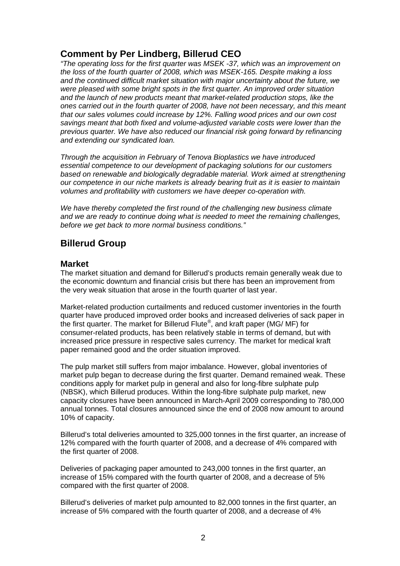## **Comment by Per Lindberg, Billerud CEO**

*"The operating loss for the first quarter was MSEK -37, which was an improvement on the loss of the fourth quarter of 2008, which was MSEK-165. Despite making a loss and the continued difficult market situation with major uncertainty about the future, we were pleased with some bright spots in the first quarter. An improved order situation and the launch of new products meant that market-related production stops, like the ones carried out in the fourth quarter of 2008, have not been necessary, and this meant that our sales volumes could increase by 12%. Falling wood prices and our own cost savings meant that both fixed and volume-adjusted variable costs were lower than the previous quarter. We have also reduced our financial risk going forward by refinancing and extending our syndicated loan.* 

*Through the acquisition in February of Tenova Bioplastics we have introduced essential competence to our development of packaging solutions for our customers based on renewable and biologically degradable material. Work aimed at strengthening our competence in our niche markets is already bearing fruit as it is easier to maintain volumes and profitability with customers we have deeper co-operation with.* 

*We have thereby completed the first round of the challenging new business climate and we are ready to continue doing what is needed to meet the remaining challenges, before we get back to more normal business conditions."* 

## **Billerud Group**

#### **Market**

The market situation and demand for Billerud's products remain generally weak due to the economic downturn and financial crisis but there has been an improvement from the very weak situation that arose in the fourth quarter of last year.

Market-related production curtailments and reduced customer inventories in the fourth quarter have produced improved order books and increased deliveries of sack paper in the first quarter. The market for Billerud Flute*®*, and kraft paper (MG/ MF) for consumer-related products, has been relatively stable in terms of demand, but with increased price pressure in respective sales currency. The market for medical kraft paper remained good and the order situation improved.

The pulp market still suffers from major imbalance. However, global inventories of market pulp began to decrease during the first quarter. Demand remained weak. These conditions apply for market pulp in general and also for long-fibre sulphate pulp (NBSK), which Billerud produces. Within the long-fibre sulphate pulp market, new capacity closures have been announced in March-April 2009 corresponding to 780,000 annual tonnes. Total closures announced since the end of 2008 now amount to around 10% of capacity.

Billerud's total deliveries amounted to 325,000 tonnes in the first quarter, an increase of 12% compared with the fourth quarter of 2008, and a decrease of 4% compared with the first quarter of 2008.

Deliveries of packaging paper amounted to 243,000 tonnes in the first quarter, an increase of 15% compared with the fourth quarter of 2008, and a decrease of 5% compared with the first quarter of 2008.

Billerud's deliveries of market pulp amounted to 82,000 tonnes in the first quarter, an increase of 5% compared with the fourth quarter of 2008, and a decrease of 4%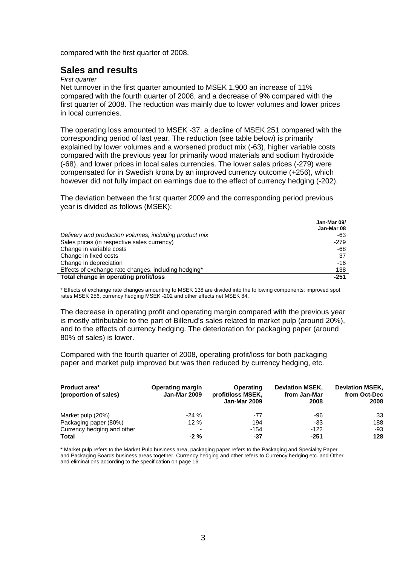compared with the first quarter of 2008.

#### **Sales and results**

#### *First quarter*

Net turnover in the first quarter amounted to MSEK 1,900 an increase of 11% compared with the fourth quarter of 2008, and a decrease of 9% compared with the first quarter of 2008. The reduction was mainly due to lower volumes and lower prices in local currencies.

The operating loss amounted to MSEK -37, a decline of MSEK 251 compared with the corresponding period of last year. The reduction (see table below) is primarily explained by lower volumes and a worsened product mix (-63), higher variable costs compared with the previous year for primarily wood materials and sodium hydroxide (-68), and lower prices in local sales currencies. The lower sales prices (-279) were compensated for in Swedish krona by an improved currency outcome (+256), which however did not fully impact on earnings due to the effect of currency hedging (-202).

The deviation between the first quarter 2009 and the corresponding period previous year is divided as follows (MSEK):

|                                                        | Jan-Mar 09/<br>Jan-Mar 08 |
|--------------------------------------------------------|---------------------------|
| Delivery and production volumes, including product mix | -63                       |
| Sales prices (in respective sales currency)            | $-279$                    |
| Change in variable costs                               | -68                       |
| Change in fixed costs                                  | 37                        |
| Change in depreciation                                 | -16                       |
| Effects of exchange rate changes, including hedging*   | 138                       |
| Total change in operating profit/loss                  | $-251$                    |

**Jan-Mar 09/** 

\* Effects of exchange rate changes amounting to MSEK 138 are divided into the following components: improved spot rates MSEK 256, currency hedging MSEK -202 and other effects net MSEK 84.

The decrease in operating profit and operating margin compared with the previous year is mostly attributable to the part of Billerud's sales related to market pulp (around 20%), and to the effects of currency hedging. The deterioration for packaging paper (around 80% of sales) is lower.

Compared with the fourth quarter of 2008, operating profit/loss for both packaging paper and market pulp improved but was then reduced by currency hedging, etc.

| <b>Product area*</b><br>(proportion of sales) | <b>Operating margin</b><br><b>Jan-Mar 2009</b> | Operating<br>profit/loss MSEK,<br><b>Jan-Mar 2009</b> | <b>Deviation MSEK,</b><br>from Jan-Mar<br>2008 | <b>Deviation MSEK,</b><br>from Oct-Dec<br>2008 |
|-----------------------------------------------|------------------------------------------------|-------------------------------------------------------|------------------------------------------------|------------------------------------------------|
| Market pulp (20%)                             | $-24%$                                         | -77                                                   | -96                                            | 33                                             |
| Packaging paper (80%)                         | 12%                                            | 194                                                   | -33                                            | 188                                            |
| Currency hedging and other                    | $\overline{\phantom{0}}$                       | -154                                                  | $-122$                                         | -93                                            |
| <b>Total</b>                                  | $-2\%$                                         | -37                                                   | -251                                           | 128                                            |

\* Market pulp refers to the Market Pulp business area, packaging paper refers to the Packaging and Speciality Paper and Packaging Boards business areas together. Currency hedging and other refers to Currency hedging etc. and Other and eliminations according to the specification on page 16.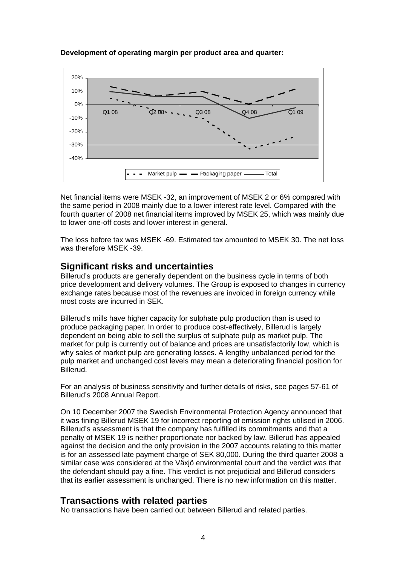

**Development of operating margin per product area and quarter:** 

Net financial items were MSEK -32, an improvement of MSEK 2 or 6% compared with the same period in 2008 mainly due to a lower interest rate level. Compared with the fourth quarter of 2008 net financial items improved by MSEK 25, which was mainly due to lower one-off costs and lower interest in general.

The loss before tax was MSEK -69. Estimated tax amounted to MSEK 30. The net loss was therefore MSEK -39.

## **Significant risks and uncertainties**

Billerud's products are generally dependent on the business cycle in terms of both price development and delivery volumes. The Group is exposed to changes in currency exchange rates because most of the revenues are invoiced in foreign currency while most costs are incurred in SEK.

Billerud's mills have higher capacity for sulphate pulp production than is used to produce packaging paper. In order to produce cost-effectively, Billerud is largely dependent on being able to sell the surplus of sulphate pulp as market pulp. The market for pulp is currently out of balance and prices are unsatisfactorily low, which is why sales of market pulp are generating losses. A lengthy unbalanced period for the pulp market and unchanged cost levels may mean a deteriorating financial position for Billerud.

For an analysis of business sensitivity and further details of risks, see pages 57-61 of Billerud's 2008 Annual Report.

On 10 December 2007 the Swedish Environmental Protection Agency announced that it was fining Billerud MSEK 19 for incorrect reporting of emission rights utilised in 2006. Billerud's assessment is that the company has fulfilled its commitments and that a penalty of MSEK 19 is neither proportionate nor backed by law. Billerud has appealed against the decision and the only provision in the 2007 accounts relating to this matter is for an assessed late payment charge of SEK 80,000. During the third quarter 2008 a similar case was considered at the Växjö environmental court and the verdict was that the defendant should pay a fine. This verdict is not prejudicial and Billerud considers that its earlier assessment is unchanged. There is no new information on this matter.

## **Transactions with related parties**

No transactions have been carried out between Billerud and related parties.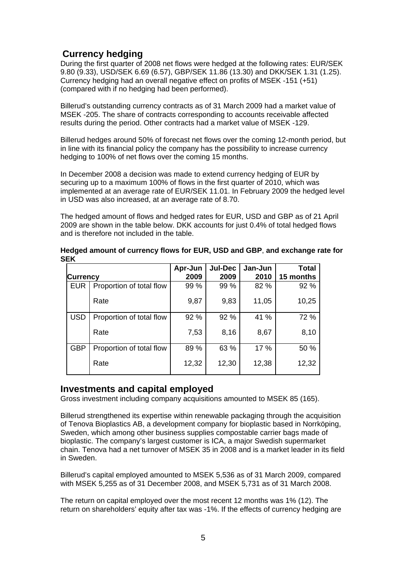## **Currency hedging**

During the first quarter of 2008 net flows were hedged at the following rates: EUR/SEK 9.80 (9.33), USD/SEK 6.69 (6.57), GBP/SEK 11.86 (13.30) and DKK/SEK 1.31 (1.25). Currency hedging had an overall negative effect on profits of MSEK -151 (+51) (compared with if no hedging had been performed).

Billerud's outstanding currency contracts as of 31 March 2009 had a market value of MSEK -205. The share of contracts corresponding to accounts receivable affected results during the period. Other contracts had a market value of MSEK -129.

Billerud hedges around 50% of forecast net flows over the coming 12-month period, but in line with its financial policy the company has the possibility to increase currency hedging to 100% of net flows over the coming 15 months.

In December 2008 a decision was made to extend currency hedging of EUR by securing up to a maximum 100% of flows in the first quarter of 2010, which was implemented at an average rate of EUR/SEK 11.01. In February 2009 the hedged level in USD was also increased, at an average rate of 8.70.

The hedged amount of flows and hedged rates for EUR, USD and GBP as of 21 April 2009 are shown in the table below. DKK accounts for just 0.4% of total hedged flows and is therefore not included in the table.

| <b>Currency</b> |                          | Apr-Jun<br>2009 | <b>Jul-Dec</b><br>2009 | Jan-Jun<br>2010 | Total<br>15 months |
|-----------------|--------------------------|-----------------|------------------------|-----------------|--------------------|
| <b>EUR</b>      | Proportion of total flow | 99 %            | 99 %                   | 82 %            | 92 %               |
|                 | Rate                     | 9,87            | 9,83                   | 11,05           | 10,25              |
| <b>USD</b>      | Proportion of total flow | 92 %            | 92 %                   | 41 %            | 72 %               |
|                 | Rate                     | 7,53            | 8,16                   | 8,67            | 8,10               |
| <b>GBP</b>      | Proportion of total flow | 89 %            | 63 %                   | 17 %            | 50 %               |
|                 | Rate                     | 12,32           | 12,30                  | 12,38           | 12,32              |

**Hedged amount of currency flows for EUR, USD and GBP**, **and exchange rate for SEK** 

### **Investments and capital employed**

Gross investment including company acquisitions amounted to MSEK 85 (165).

Billerud strengthened its expertise within renewable packaging through the acquisition of Tenova Bioplastics AB, a development company for bioplastic based in Norrköping, Sweden, which among other business supplies compostable carrier bags made of bioplastic. The company's largest customer is ICA, a major Swedish supermarket chain. Tenova had a net turnover of MSEK 35 in 2008 and is a market leader in its field in Sweden.

Billerud's capital employed amounted to MSEK 5,536 as of 31 March 2009, compared with MSEK 5,255 as of 31 December 2008, and MSEK 5,731 as of 31 March 2008.

The return on capital employed over the most recent 12 months was 1% (12). The return on shareholders' equity after tax was -1%. If the effects of currency hedging are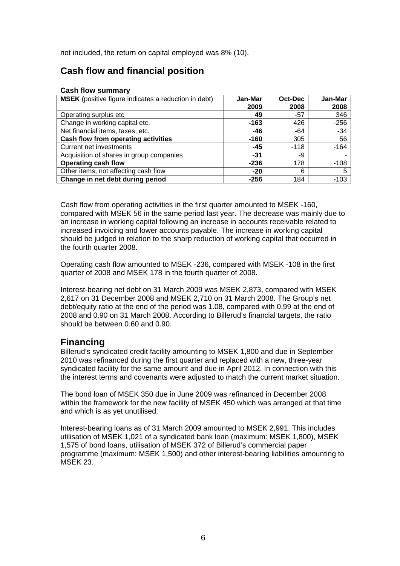not included, the return on capital employed was 8% (10).

## **Cash flow and financial position**

#### **Cash flow summary**

| <b>MSEK</b> (positive figure indicates a reduction in debt) | Jan-Mar | Oct-Dec | Jan-Mar |
|-------------------------------------------------------------|---------|---------|---------|
|                                                             | 2009    | 2008    | 2008    |
| Operating surplus etc                                       | 49      | $-57$   | 346     |
| Change in working capital etc.                              | $-163$  | 426     | $-256$  |
| Net financial items, taxes, etc.                            | -46     | -64     | $-34$   |
| Cash flow from operating activities                         | $-160$  | 305     | 56      |
| Current net investments                                     | $-45$   | $-118$  | $-164$  |
| Acquisition of shares in group companies                    | -31     | -9      |         |
| <b>Operating cash flow</b>                                  | $-236$  | 178     | $-108$  |
| Other items, not affecting cash flow                        | $-20$   | 6       | 5       |
| Change in net debt during period                            | $-256$  | 184     | $-103$  |

Cash flow from operating activities in the first quarter amounted to MSEK -160, compared with MSEK 56 in the same period last year. The decrease was mainly due to an increase in working capital following an increase in accounts receivable related to increased invoicing and lower accounts payable. The increase in working capital should be judged in relation to the sharp reduction of working capital that occurred in the fourth quarter 2008.

Operating cash flow amounted to MSEK -236, compared with MSEK -108 in the first quarter of 2008 and MSEK 178 in the fourth quarter of 2008.

Interest-bearing net debt on 31 March 2009 was MSEK 2,873, compared with MSEK 2,617 on 31 December 2008 and MSEK 2,710 on 31 March 2008. The Group's net debt/equity ratio at the end of the period was 1.08, compared with 0.99 at the end of 2008 and 0.90 on 31 March 2008. According to Billerud's financial targets, the ratio should be between 0.60 and 0.90.

## **Financing**

Billerud's syndicated credit facility amounting to MSEK 1,800 and due in September 2010 was refinanced during the first quarter and replaced with a new, three-year syndicated facility for the same amount and due in April 2012. In connection with this the interest terms and covenants were adjusted to match the current market situation.

The bond loan of MSEK 350 due in June 2009 was refinanced in December 2008 within the framework for the new facility of MSEK 450 which was arranged at that time and which is as yet unutilised.

Interest-bearing loans as of 31 March 2009 amounted to MSEK 2,991. This includes utilisation of MSEK 1,021 of a syndicated bank loan (maximum: MSEK 1,800), MSEK 1,575 of bond loans, utilisation of MSEK 372 of Billerud's commercial paper programme (maximum: MSEK 1,500) and other interest-bearing liabilities amounting to MSEK 23.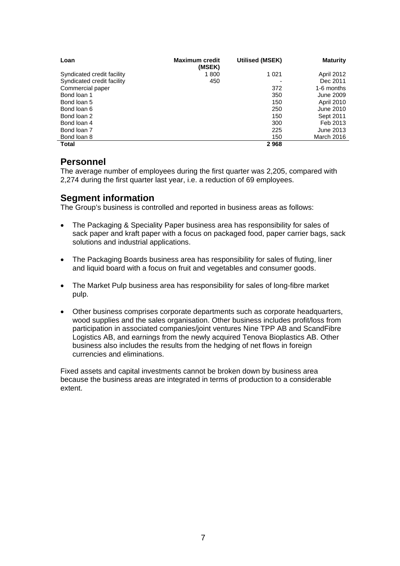| Loan                       | <b>Maximum credit</b><br>(MSEK) | Utilised (MSEK) | <b>Maturity</b>   |
|----------------------------|---------------------------------|-----------------|-------------------|
| Syndicated credit facility | 1800                            | 1 0 2 1         | <b>April 2012</b> |
| Syndicated credit facility | 450                             |                 | Dec 2011          |
| Commercial paper           |                                 | 372             | 1-6 months        |
| Bond loan 1                |                                 | 350             | June 2009         |
| Bond loan 5                |                                 | 150             | <b>April 2010</b> |
| Bond loan 6                |                                 | 250             | June 2010         |
| Bond loan 2                |                                 | 150             | Sept 2011         |
| Bond loan 4                |                                 | 300             | Feb 2013          |
| Bond loan 7                |                                 | 225             | June 2013         |
| Bond loan 8                |                                 | 150             | March 2016        |
| Total                      |                                 | 2968            |                   |

## **Personnel**

The average number of employees during the first quarter was 2,205, compared with 2,274 during the first quarter last year, i.e. a reduction of 69 employees.

## **Segment information**

The Group's business is controlled and reported in business areas as follows:

- The Packaging & Speciality Paper business area has responsibility for sales of sack paper and kraft paper with a focus on packaged food, paper carrier bags, sack solutions and industrial applications.
- The Packaging Boards business area has responsibility for sales of fluting, liner and liquid board with a focus on fruit and vegetables and consumer goods.
- The Market Pulp business area has responsibility for sales of long-fibre market pulp.
- Other business comprises corporate departments such as corporate headquarters, wood supplies and the sales organisation. Other business includes profit/loss from participation in associated companies/joint ventures Nine TPP AB and ScandFibre Logistics AB, and earnings from the newly acquired Tenova Bioplastics AB. Other business also includes the results from the hedging of net flows in foreign currencies and eliminations.

Fixed assets and capital investments cannot be broken down by business area because the business areas are integrated in terms of production to a considerable extent.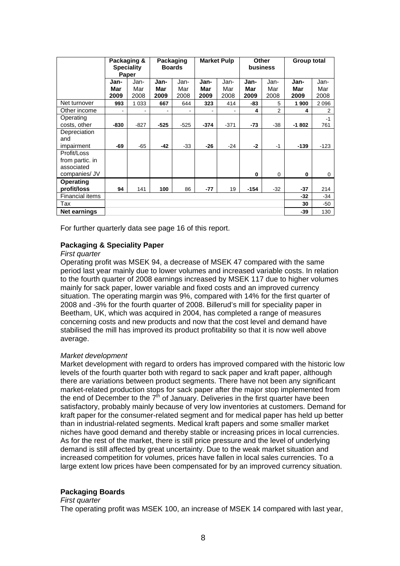|                                                               |                     | Packaging &<br><b>Speciality</b><br>Paper |                     | Packaging<br><b>Boards</b> |                     | <b>Market Pulp</b>  | Other<br>business   |                     | <b>Group total</b>  |                     |
|---------------------------------------------------------------|---------------------|-------------------------------------------|---------------------|----------------------------|---------------------|---------------------|---------------------|---------------------|---------------------|---------------------|
|                                                               | Jan-<br>Mar<br>2009 | Jan-<br>Mar<br>2008                       | Jan-<br>Mar<br>2009 | Jan-<br>Mar<br>2008        | Jan-<br>Mar<br>2009 | Jan-<br>Mar<br>2008 | Jan-<br>Mar<br>2009 | Jan-<br>Mar<br>2008 | Jan-<br>Mar<br>2009 | Jan-<br>Mar<br>2008 |
| Net turnover                                                  | 993                 | 1 0 3 3                                   | 667                 | 644                        | 323                 | 414                 | -83                 | 5                   | 1900                | 2 0 9 6             |
| Other income                                                  |                     |                                           |                     |                            |                     |                     | 4                   | 2                   | 4                   | 2                   |
| Operating<br>costs, other                                     | $-830$              | $-827$                                    | $-525$              | $-525$                     | $-374$              | $-371$              | $-73$               | $-38$               | $-1802$             | $-1$<br>761         |
| Depreciation<br>and<br>impairment                             | -69                 | $-65$                                     | $-42$               | $-33$                      | $-26$               | $-24$               | $-2$                | $-1$                | $-139$              | $-123$              |
| Profit/Loss<br>from partic. in<br>associated<br>companies/ JV |                     |                                           |                     |                            |                     |                     | $\bf{0}$            | 0                   | 0                   | 0                   |
| <b>Operating</b><br>profit/loss                               | 94                  | 141                                       | 100                 | 86                         | $-77$               | 19                  | $-154$              | $-32$               | -37                 | 214                 |
| <b>Financial items</b>                                        |                     |                                           |                     |                            |                     |                     |                     |                     | $-32$               | $-34$               |
| Tax                                                           |                     |                                           |                     |                            |                     |                     |                     |                     | 30                  | $-50$               |
| <b>Net earnings</b>                                           |                     |                                           |                     |                            |                     |                     |                     |                     | -39                 | 130                 |

For further quarterly data see page 16 of this report.

#### **Packaging & Speciality Paper**

#### *First quarter*

Operating profit was MSEK 94, a decrease of MSEK 47 compared with the same period last year mainly due to lower volumes and increased variable costs. In relation to the fourth quarter of 2008 earnings increased by MSEK 117 due to higher volumes mainly for sack paper, lower variable and fixed costs and an improved currency situation. The operating margin was 9%, compared with 14% for the first quarter of 2008 and -3% for the fourth quarter of 2008. Billerud's mill for speciality paper in Beetham, UK, which was acquired in 2004, has completed a range of measures concerning costs and new products and now that the cost level and demand have stabilised the mill has improved its product profitability so that it is now well above average.

#### *Market development*

Market development with regard to orders has improved compared with the historic low levels of the fourth quarter both with regard to sack paper and kraft paper, although there are variations between product segments. There have not been any significant market-related production stops for sack paper after the major stop implemented from the end of December to the  $7<sup>th</sup>$  of January. Deliveries in the first quarter have been satisfactory, probably mainly because of very low inventories at customers. Demand for kraft paper for the consumer-related segment and for medical paper has held up better than in industrial-related segments. Medical kraft papers and some smaller market niches have good demand and thereby stable or increasing prices in local currencies. As for the rest of the market, there is still price pressure and the level of underlying demand is still affected by great uncertainty. Due to the weak market situation and increased competition for volumes, prices have fallen in local sales currencies. To a large extent low prices have been compensated for by an improved currency situation.

#### **Packaging Boards**

#### *First quarter*

The operating profit was MSEK 100, an increase of MSEK 14 compared with last year,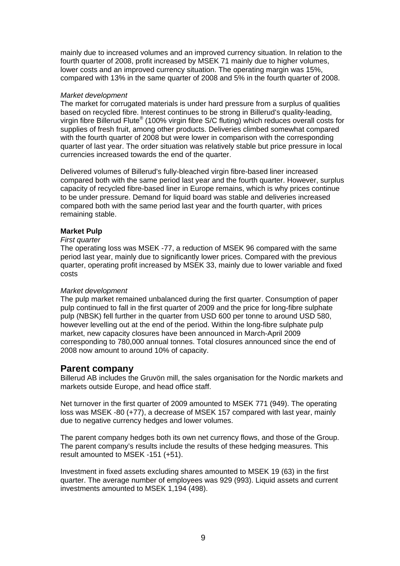mainly due to increased volumes and an improved currency situation. In relation to the fourth quarter of 2008, profit increased by MSEK 71 mainly due to higher volumes, lower costs and an improved currency situation. The operating margin was 15%, compared with 13% in the same quarter of 2008 and 5% in the fourth quarter of 2008.

#### *Market development*

The market for corrugated materials is under hard pressure from a surplus of qualities based on recycled fibre. Interest continues to be strong in Billerud's quality-leading, virgin fibre Billerud Flute® (100% virgin fibre S/C fluting) which reduces overall costs for supplies of fresh fruit, among other products. Deliveries climbed somewhat compared with the fourth quarter of 2008 but were lower in comparison with the corresponding quarter of last year. The order situation was relatively stable but price pressure in local currencies increased towards the end of the quarter.

Delivered volumes of Billerud's fully-bleached virgin fibre-based liner increased compared both with the same period last year and the fourth quarter. However, surplus capacity of recycled fibre-based liner in Europe remains, which is why prices continue to be under pressure. Demand for liquid board was stable and deliveries increased compared both with the same period last year and the fourth quarter, with prices remaining stable.

#### **Market Pulp**

#### *First quarter*

The operating loss was MSEK -77, a reduction of MSEK 96 compared with the same period last year, mainly due to significantly lower prices. Compared with the previous quarter, operating profit increased by MSEK 33, mainly due to lower variable and fixed costs

#### *Market development*

The pulp market remained unbalanced during the first quarter. Consumption of paper pulp continued to fall in the first quarter of 2009 and the price for long-fibre sulphate pulp (NBSK) fell further in the quarter from USD 600 per tonne to around USD 580, however levelling out at the end of the period. Within the long-fibre sulphate pulp market, new capacity closures have been announced in March-April 2009 corresponding to 780,000 annual tonnes. Total closures announced since the end of 2008 now amount to around 10% of capacity.

#### **Parent company**

Billerud AB includes the Gruvön mill, the sales organisation for the Nordic markets and markets outside Europe, and head office staff.

Net turnover in the first quarter of 2009 amounted to MSEK 771 (949). The operating loss was MSEK -80 (+77), a decrease of MSEK 157 compared with last year, mainly due to negative currency hedges and lower volumes.

The parent company hedges both its own net currency flows, and those of the Group. The parent company's results include the results of these hedging measures. This result amounted to MSEK -151 (+51).

Investment in fixed assets excluding shares amounted to MSEK 19 (63) in the first quarter. The average number of employees was 929 (993). Liquid assets and current investments amounted to MSEK 1,194 (498).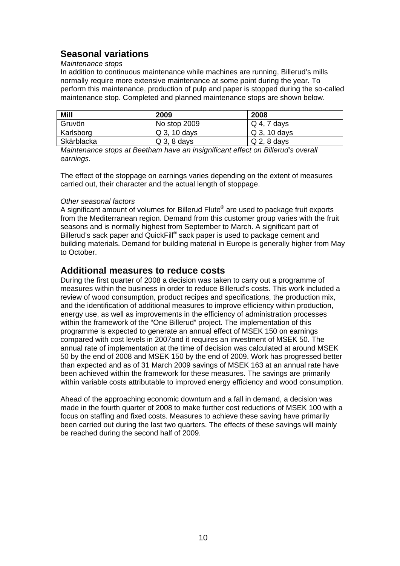## **Seasonal variations**

#### *Maintenance stops*

In addition to continuous maintenance while machines are running, Billerud's mills normally require more extensive maintenance at some point during the year. To perform this maintenance, production of pulp and paper is stopped during the so-called maintenance stop. Completed and planned maintenance stops are shown below.

| <b>Mill</b> | 2009           | 2008          |
|-------------|----------------|---------------|
| Gruvön      | No stop 2009   | $Q$ 4, 7 days |
| Karlsborg   | Q 3, 10 days   | Q 3, 10 days  |
| Skärblacka  | $Q_3$ , 8 days | $Q$ 2, 8 days |

*Maintenance stops at Beetham have an insignificant effect on Billerud's overall earnings.* 

The effect of the stoppage on earnings varies depending on the extent of measures carried out, their character and the actual length of stoppage.

#### *Other seasonal factors*

A significant amount of volumes for Billerud Flute<sup>®</sup> are used to package fruit exports from the Mediterranean region. Demand from this customer group varies with the fruit seasons and is normally highest from September to March. A significant part of Billerud's sack paper and QuickFill® sack paper is used to package cement and building materials. Demand for building material in Europe is generally higher from May to October.

## **Additional measures to reduce costs**

During the first quarter of 2008 a decision was taken to carry out a programme of measures within the business in order to reduce Billerud's costs. This work included a review of wood consumption, product recipes and specifications, the production mix, and the identification of additional measures to improve efficiency within production, energy use, as well as improvements in the efficiency of administration processes within the framework of the "One Billerud" project. The implementation of this programme is expected to generate an annual effect of MSEK 150 on earnings compared with cost levels in 2007and it requires an investment of MSEK 50. The annual rate of implementation at the time of decision was calculated at around MSEK 50 by the end of 2008 and MSEK 150 by the end of 2009. Work has progressed better than expected and as of 31 March 2009 savings of MSEK 163 at an annual rate have been achieved within the framework for these measures. The savings are primarily within variable costs attributable to improved energy efficiency and wood consumption.

Ahead of the approaching economic downturn and a fall in demand, a decision was made in the fourth quarter of 2008 to make further cost reductions of MSEK 100 with a focus on staffing and fixed costs. Measures to achieve these saving have primarily been carried out during the last two quarters. The effects of these savings will mainly be reached during the second half of 2009.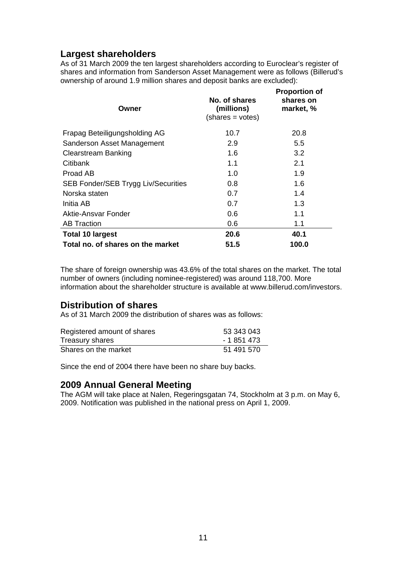## **Largest shareholders**

As of 31 March 2009 the ten largest shareholders according to Euroclear's register of shares and information from Sanderson Asset Management were as follows (Billerud's ownership of around 1.9 million shares and deposit banks are excluded):

**Proportion of** 

| Owner                                      | No. of shares<br>(millions)<br>$(shares = votes)$ | <b>Proportion of</b><br>shares on<br>market, % |
|--------------------------------------------|---------------------------------------------------|------------------------------------------------|
| Frapag Beteiligungsholding AG              | 10.7                                              | 20.8                                           |
| Sanderson Asset Management                 | 2.9                                               | 5.5                                            |
| <b>Clearstream Banking</b>                 | 1.6                                               | 3.2                                            |
| Citibank                                   | 1.1                                               | 2.1                                            |
| Proad AB                                   | 1.0                                               | 1.9                                            |
| <b>SEB Fonder/SEB Trygg Liv/Securities</b> | 0.8                                               | 1.6                                            |
| Norska staten                              | 0.7                                               | 1.4                                            |
| Initia AB                                  | 0.7                                               | 1.3                                            |
| Aktie-Ansvar Fonder                        | 0.6                                               | 1.1                                            |
| <b>AB Traction</b>                         | 0.6                                               | 1.1                                            |
| <b>Total 10 largest</b>                    | 20.6                                              | 40.1                                           |
| Total no. of shares on the market          | 51.5                                              | 100.0                                          |

The share of foreign ownership was 43.6% of the total shares on the market. The total number of owners (including nominee-registered) was around 118,700. More information about the shareholder structure is available at www.billerud.com/investors.

## **Distribution of shares**

As of 31 March 2009 the distribution of shares was as follows:

| Registered amount of shares | 53 343 043  |
|-----------------------------|-------------|
| Treasury shares             | - 1 851 473 |
| Shares on the market        | 51 491 570  |

Since the end of 2004 there have been no share buy backs.

## **2009 Annual General Meeting**

The AGM will take place at Nalen, Regeringsgatan 74, Stockholm at 3 p.m. on May 6, 2009. Notification was published in the national press on April 1, 2009.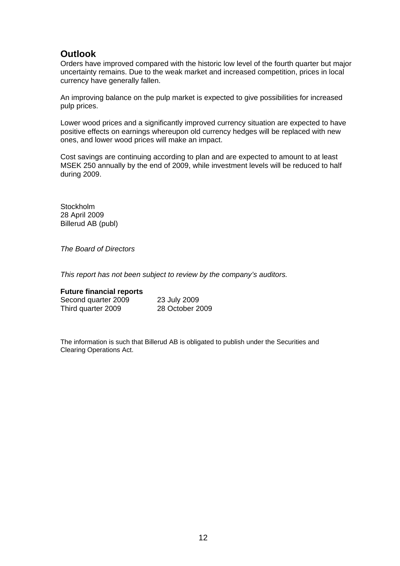## **Outlook**

Orders have improved compared with the historic low level of the fourth quarter but major uncertainty remains. Due to the weak market and increased competition, prices in local currency have generally fallen.

An improving balance on the pulp market is expected to give possibilities for increased pulp prices.

Lower wood prices and a significantly improved currency situation are expected to have positive effects on earnings whereupon old currency hedges will be replaced with new ones, and lower wood prices will make an impact.

Cost savings are continuing according to plan and are expected to amount to at least MSEK 250 annually by the end of 2009, while investment levels will be reduced to half during 2009.

**Stockholm** 28 April 2009 Billerud AB (publ)

*The Board of Directors* 

*This report has not been subject to review by the company's auditors.* 

#### **Future financial reports**

| Second quarter 2009 | 23 July 2009    |
|---------------------|-----------------|
| Third quarter 2009  | 28 October 2009 |

The information is such that Billerud AB is obligated to publish under the Securities and Clearing Operations Act.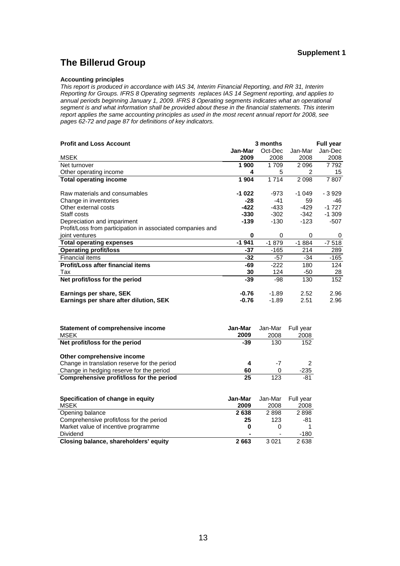## **The Billerud Group**

#### **Accounting principles**

*This report is produced in accordance with IAS 34, Interim Financial Reporting, and RR 31, Interim Reporting for Groups. IFRS 8 Operating segments replaces IAS 14 Segment reporting, and applies to annual periods beginning January 1, 2009. IFRS 8 Operating segments indicates what an operational segment is and what information shall be provided about these in the financial statements. This interim report applies the same accounting principles as used in the most recent annual report for 2008, see pages 62-72 and page 87 for definitions of key indicators.* 

| <b>Profit and Loss Account</b>                             | 3 months |         |         | <b>Full year</b> |
|------------------------------------------------------------|----------|---------|---------|------------------|
|                                                            | Jan-Mar  | Oct-Dec | Jan-Mar | Jan-Dec          |
| <b>MSEK</b>                                                | 2009     | 2008    | 2008    | 2008             |
| Net turnover                                               | 1900     | 1709    | 2096    | 7 792            |
| Other operating income                                     | 4        | 5       | 2       | 15               |
| <b>Total operating income</b>                              | 1 904    | 1714    | 2 0 9 8 | 7807             |
|                                                            |          |         |         |                  |
| Raw materials and consumables                              | -1 022   | $-973$  | $-1049$ | - 3 929          |
| Change in inventories                                      | -28      | -41     | 59      | -46              |
| Other external costs                                       | -422     | -433    | -429    | $-1727$          |
| Staff costs                                                | $-330$   | $-302$  | -342    | $-1.309$         |
| Depreciation and impariment                                | -139     | -130    | $-123$  | -507             |
| Profit/Loss from participation in associated companies and |          |         |         |                  |
| joint ventures                                             | $\bf{0}$ | 0       | 0       | 0                |
| <b>Total operating expenses</b>                            | $-1941$  | $-1879$ | $-1884$ | $-7518$          |
| <b>Operating profit/loss</b>                               | -37      | -165    | 214     | 289              |
| <b>Financial items</b>                                     | -32      | $-57$   | -34     | $-165$           |
| Profit/Loss after financial items                          | -69      | $-222$  | 180     | 124              |
| Tax                                                        | 30       | 124     | -50     | 28               |
| Net profit/loss for the period                             | -39      | -98     | 130     | 152              |
|                                                            |          |         |         |                  |
| Earnings per share, SEK                                    | $-0.76$  | $-1.89$ | 2.52    | 2.96             |
| Earnings per share after dilution, SEK                     | $-0.76$  | $-1.89$ | 2.51    | 2.96             |
|                                                            |          |         |         |                  |

| Statement of comprehensive income<br><b>MSEK</b> | Jan-Mar<br>2009 | Jan-Mar<br>2008 | Full year<br>2008 |
|--------------------------------------------------|-----------------|-----------------|-------------------|
| Net profit/loss for the period                   | -39             | 130             | 152               |
| Other comprehensive income                       |                 |                 |                   |
| Change in translation reserve for the period     | 4               | -7              |                   |
| Change in hedging reserve for the period         | 60              | O               | $-235$            |
| Comprehensive profit/loss for the period         | 25              | 123             | -81               |

| Specification of change in equity        | Jan-Mar | Jan-Mar | Full vear |
|------------------------------------------|---------|---------|-----------|
| <b>MSEK</b>                              | 2009    | 2008    | 2008      |
| Opening balance                          | 2638    | 2898    | 2898      |
| Comprehensive profit/loss for the period | 25      | 123     | -81       |
| Market value of incentive programme      | 0       |         |           |
| Dividend                                 |         |         | -180      |
| Closing balance, shareholders' equity    | 2663    | 3 0 2 1 | 2638      |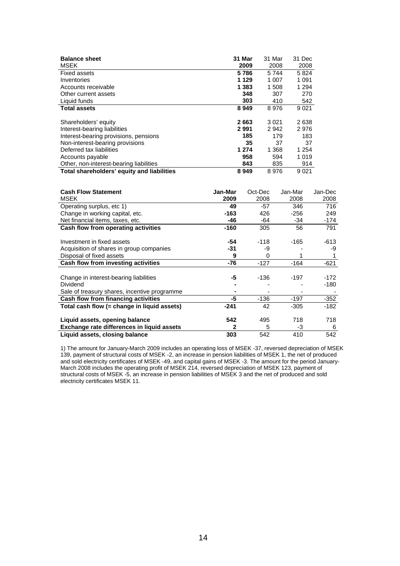| <b>Balance sheet</b><br><b>MSEK</b>        | 31 Mar<br>2009 | 31 Mar<br>2008 | 31 Dec<br>2008 |
|--------------------------------------------|----------------|----------------|----------------|
| <b>Fixed assets</b>                        | 5786           | 5744           | 5824           |
|                                            |                |                |                |
| Inventories                                | 1 1 2 9        | 1 0 0 7        | 1 0 9 1        |
| Accounts receivable                        | 1 3 8 3        | 1 508          | 1 2 9 4        |
| Other current assets                       | 348            | 307            | 270            |
| Liquid funds                               | 303            | 410            | 542            |
| <b>Total assets</b>                        | 8949           | 8976           | 9 0 21         |
|                                            |                |                |                |
| Shareholders' equity                       | 2663           | 3021           | 2638           |
| Interest-bearing liabilities               | 2991           | 2942           | 2976           |
| Interest-bearing provisions, pensions      | 185            | 179            | 183            |
| Non-interest-bearing provisions            | 35             | 37             | 37             |
| Deferred tax liabilities                   | 1 274          | 1 3 6 8        | 1 2 5 4        |
| Accounts payable                           | 958            | 594            | 1 0 1 9        |
| Other, non-interest-bearing liabilities    | 843            | 835            | 914            |
| Total shareholders' equity and liabilities | 8949           | 8976           | 9 0 21         |

| <b>Cash Flow Statement</b>                   | Jan-Mar | Oct-Dec | Jan-Mar | Jan-Dec |
|----------------------------------------------|---------|---------|---------|---------|
| MSEK                                         | 2009    | 2008    | 2008    | 2008    |
| Operating surplus, etc 1)                    | 49      | -57     | 346     | 716     |
| Change in working capital, etc.              | -163    | 426     | -256    | 249     |
| Net financial items, taxes, etc.             | -46     | -64     | -34     | -174    |
| Cash flow from operating activities          | -160    | 305     | 56      | 791     |
| Investment in fixed assets                   | -54     | -118    | -165    | -613    |
| Acquisition of shares in group companies     | -31     | -9      |         | -9      |
| Disposal of fixed assets                     | 9       | 0       |         |         |
| Cash flow from investing activities          | -76     | $-127$  | -164    | -621    |
|                                              |         |         |         |         |
| Change in interest-bearing liabilities       | -5      | -136    | -197    | -172    |
| Dividend                                     |         |         |         | -180    |
| Sale of treasury shares, incentive programme |         |         |         |         |
| Cash flow from financing activities          | -5      | -136    | -197    | $-352$  |
| Total cash flow (= change in liquid assets)  | -241    | 42      | -305    | $-182$  |
| Liquid assets, opening balance               | 542     | 495     | 718     | 718     |
| Exchange rate differences in liquid assets   | 2       | 5       | -3      | 6       |
|                                              | 303     | 542     |         | 542     |
| Liquid assets, closing balance               |         |         | 410     |         |

1) The amount for January-March 2009 includes an operating loss of MSEK -37, reversed depreciation of MSEK 139, payment of structural costs of MSEK -2, an increase in pension liabilities of MSEK 1, the net of produced and sold electricity certificates of MSEK -49, and capital gains of MSEK -3. The amount for the period January-March 2008 includes the operating profit of MSEK 214, reversed depreciation of MSEK 123, payment of structural costs of MSEK -5, an increase in pension liabilities of MSEK 3 and the net of produced and sold electricity certificates MSEK 11.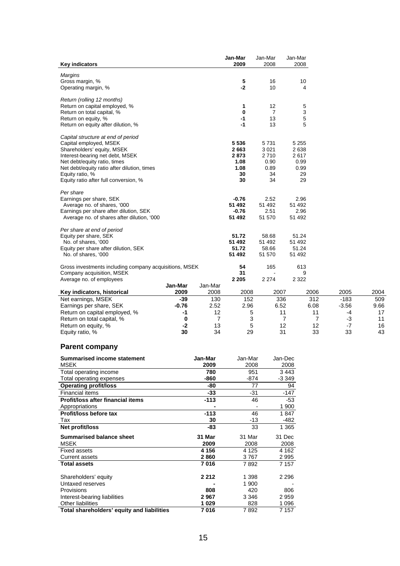| <b>Key indicators</b>                                  |         |                | Jan-Mar<br>2009 | Jan-Mar<br>2008 | Jan-Mar<br>2008 |                |         |                 |
|--------------------------------------------------------|---------|----------------|-----------------|-----------------|-----------------|----------------|---------|-----------------|
|                                                        |         |                |                 |                 |                 |                |         |                 |
| Margins<br>Gross margin, %                             |         |                | 5               | 16              | 10              |                |         |                 |
| Operating margin, %                                    |         |                | $-2$            | 10              | 4               |                |         |                 |
|                                                        |         |                |                 |                 |                 |                |         |                 |
| Return (rolling 12 months)                             |         |                |                 |                 |                 |                |         |                 |
| Return on capital employed, %                          |         |                | 1               | 12              | 5               |                |         |                 |
| Return on total capital, %                             |         |                | $\bf{0}$        | $\overline{7}$  | 3               |                |         |                 |
| Return on equity, %                                    |         |                | $-1$            | 13              | 5               |                |         |                 |
| Return on equity after dilution, %                     |         |                | $-1$            | 13              | 5               |                |         |                 |
| Capital structure at end of period                     |         |                |                 |                 |                 |                |         |                 |
| Capital employed, MSEK                                 |         |                | 5 5 3 6         | 5731            | 5 2 5 5         |                |         |                 |
| Shareholders' equity, MSEK                             |         |                | 2663            | 3 0 21          | 2638            |                |         |                 |
| Interest-bearing net debt, MSEK                        |         |                | 2873            | 2710            | 2617            |                |         |                 |
| Net debt/equity ratio, times                           |         |                | 1.08            | 0.90            | 0.99            |                |         |                 |
| Net debt/equity ratio after dilution, times            |         |                | 1.08            | 0.89            | 0.99            |                |         |                 |
| Equity ratio, %                                        |         |                | 30              | 34              | 29              |                |         |                 |
| Equity ratio after full conversion, %                  |         |                | 30              | 34              | 29              |                |         |                 |
| Per share                                              |         |                |                 |                 |                 |                |         |                 |
| Earnings per share, SEK                                |         |                | $-0.76$         | 2.52            | 2.96            |                |         |                 |
| Average no. of shares, '000                            |         |                | 51 492          | 51 492          | 51 492          |                |         |                 |
| Earnings per share after dilution, SEK                 |         |                | $-0.76$         | 2.51            | 2.96            |                |         |                 |
| Average no. of shares after dilution, '000             |         |                | 51 492          | 51 570          | 51 492          |                |         |                 |
| Per share at end of period                             |         |                |                 |                 |                 |                |         |                 |
| Equity per share, SEK                                  |         |                | 51.72           | 58.68           | 51.24           |                |         |                 |
| No. of shares, '000                                    |         |                | 51 492          | 51 492          | 51 492          |                |         |                 |
| Equity per share after dilution, SEK                   |         |                | 51.72           | 58.66           | 51.24           |                |         |                 |
| No. of shares, '000                                    |         |                | 51 492          | 51 570          | 51 492          |                |         |                 |
| Gross investments including company acquisitions, MSEK |         |                | 54              | 165             | 613             |                |         |                 |
| Company acquisition, MSEK                              |         |                | 31              |                 | 9               |                |         |                 |
| Average no. of employees                               |         |                | 2 2 0 5         | 2 2 7 4         | 2 3 2 2         |                |         |                 |
|                                                        | Jan-Mar | Jan-Mar        |                 |                 |                 |                |         |                 |
| Key indicators, historical                             | 2009    | 2008           | 2008            | 2007            |                 | 2006           | 2005    | 2004            |
| Net earnings, MSEK                                     | $-39$   | 130            | 152             | 336             |                 | 312            | $-183$  | 50 <sup>c</sup> |
| Earnings per share, SEK                                | $-0.76$ | 2.52           | 2.96            | 6.52            |                 | 6.08           | $-3.56$ | 9.66            |
| Return on capital employed, %                          | -1      | 12             | 5               |                 | 11              | 11             | -4      | 17              |
| Return on total capital, %                             | 0       | $\overline{7}$ | 3               |                 | 7               | $\overline{7}$ | -3      | 11              |
| Return on equity, %                                    | $-2$    | 13             | 5               |                 | 12              | 12             | $-7$    | 16              |
| Equity ratio, %                                        | 30      | 34             | 29              |                 | 31              | 33             | 33      | 43              |

## **Parent company**

| <b>Summarised income statement</b>                       | Jan-Mar | Jan-Mar | Jan-Dec |
|----------------------------------------------------------|---------|---------|---------|
| <b>MSEK</b>                                              | 2009    | 2008    | 2008    |
| Total operating income                                   | 780     | 951     | 3443    |
| Total operating expenses                                 | -860    | $-874$  | -3 349  |
| <b>Operating profit/loss</b>                             | -80     | 77      | 94      |
| <b>Financial items</b>                                   | $-33$   | $-31$   | $-147$  |
| <b>Profit/loss after financial items</b>                 | $-113$  | 46      | $-53$   |
| Appropriations                                           |         |         | 1 900   |
| Profit/loss before tax                                   | $-113$  | 46      | 1847    |
| Tax                                                      | 30      | -13     | -482    |
| Net profit/loss                                          | -83     | 33      | 1 3 6 5 |
| <b>Summarised balance sheet</b>                          | 31 Mar  | 31 Mar  | 31 Dec  |
| <b>MSEK</b>                                              | 2009    | 2008    | 2008    |
| <b>Fixed assets</b>                                      | 4 1 5 6 | 4 1 2 5 | 4 1 6 2 |
| Current assets                                           | 2860    | 3767    | 2 9 9 5 |
| <b>Total assets</b>                                      | 7016    | 7892    | 7 1 5 7 |
| Shareholders' equity                                     | 2 2 1 2 | 1 3 9 8 | 2 2 9 6 |
| Untaxed reserves                                         |         | 1 900   |         |
| Provisions                                               | 808     | 420     | 806     |
|                                                          | 2967    | 3 3 4 6 | 2959    |
| Interest-bearing liabilities<br><b>Other liabilities</b> | 1029    | 828     | 1 0 9 6 |
|                                                          | 7016    | 7892    | 7 1 5 7 |
| Total shareholders' equity and liabilities               |         |         |         |